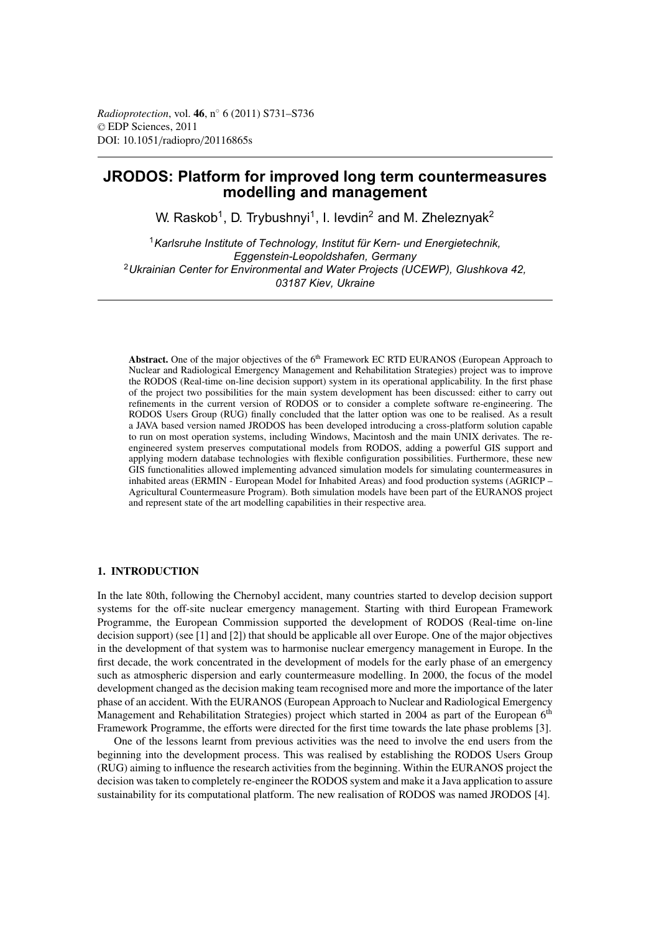# **JRODOS: Platform for improved long term countermeasures modelling and management**

W. Raskob<sup>1</sup>, D. Trybushnyi<sup>1</sup>, I. levdin<sup>2</sup> and M. Zheleznyak<sup>2</sup>

<sup>1</sup>*Karlsruhe Institute of Technology, Institut für Kern- und Energietechnik, Eggenstein-Leopoldshafen, Germany* <sup>2</sup>*Ukrainian Center for Environmental and Water Projects (UCEWP), Glushkova 42, 03187 Kiev, Ukraine*

Abstract. One of the major objectives of the 6<sup>th</sup> Framework EC RTD EURANOS (European Approach to Nuclear and Radiological Emergency Management and Rehabilitation Strategies) project was to improve the RODOS (Real-time on-line decision support) system in its operational applicability. In the first phase of the project two possibilities for the main system development has been discussed: either to carry out refinements in the current version of RODOS or to consider a complete software re-engineering. The RODOS Users Group (RUG) finally concluded that the latter option was one to be realised. As a result a JAVA based version named JRODOS has been developed introducing a cross-platform solution capable to run on most operation systems, including Windows, Macintosh and the main UNIX derivates. The reengineered system preserves computational models from RODOS, adding a powerful GIS support and applying modern database technologies with flexible configuration possibilities. Furthermore, these new GIS functionalities allowed implementing advanced simulation models for simulating countermeasures in inhabited areas (ERMIN - European Model for Inhabited Areas) and food production systems (AGRICP – Agricultural Countermeasure Program). Both simulation models have been part of the EURANOS project and represent state of the art modelling capabilities in their respective area.

#### **1. INTRODUCTION**

In the late 80th, following the Chernobyl accident, many countries started to develop decision support systems for the off-site nuclear emergency management. Starting with third European Framework Programme, the European Commission supported the development of RODOS (Real-time on-line decision support) (see [1] and [2]) that should be applicable all over Europe. One of the major objectives in the development of that system was to harmonise nuclear emergency management in Europe. In the first decade, the work concentrated in the development of models for the early phase of an emergency such as atmospheric dispersion and early countermeasure modelling. In 2000, the focus of the model development changed as the decision making team recognised more and more the importance of the later phase of an accident. With the EURANOS (European Approach to Nuclear and Radiological Emergency Management and Rehabilitation Strategies) project which started in 2004 as part of the European 6<sup>th</sup> Framework Programme, the efforts were directed for the first time towards the late phase problems [3].

One of the lessons learnt from previous activities was the need to involve the end users from the beginning into the development process. This was realised by establishing the RODOS Users Group (RUG) aiming to influence the research activities from the beginning. Within the EURANOS project the decision was taken to completely re-engineer the RODOS system and make it a Java application to assure sustainability for its computational platform. The new realisation of RODOS was named JRODOS [4].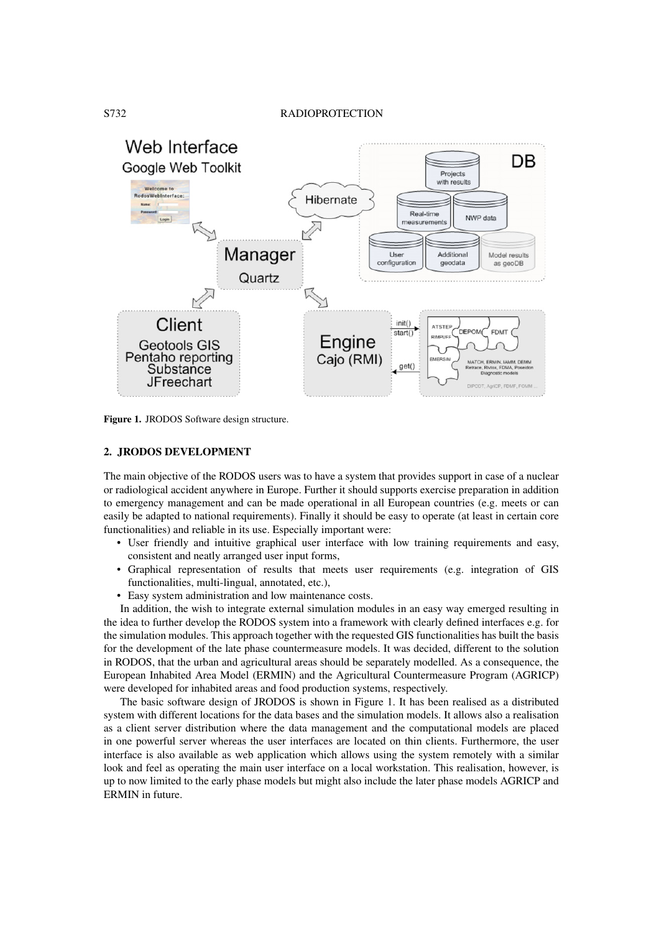

**Figure 1.** JRODOS Software design structure.

#### **2. JRODOS DEVELOPMENT**

The main objective of the RODOS users was to have a system that provides support in case of a nuclear or radiological accident anywhere in Europe. Further it should supports exercise preparation in addition to emergency management and can be made operational in all European countries (e.g. meets or can easily be adapted to national requirements). Finally it should be easy to operate (at least in certain core functionalities) and reliable in its use. Especially important were:

- User friendly and intuitive graphical user interface with low training requirements and easy, consistent and neatly arranged user input forms,
- Graphical representation of results that meets user requirements (e.g. integration of GIS functionalities, multi-lingual, annotated, etc.),
- Easy system administration and low maintenance costs.

In addition, the wish to integrate external simulation modules in an easy way emerged resulting in the idea to further develop the RODOS system into a framework with clearly defined interfaces e.g. for the simulation modules. This approach together with the requested GIS functionalities has built the basis for the development of the late phase countermeasure models. It was decided, different to the solution in RODOS, that the urban and agricultural areas should be separately modelled. As a consequence, the European Inhabited Area Model (ERMIN) and the Agricultural Countermeasure Program (AGRICP) were developed for inhabited areas and food production systems, respectively.

The basic software design of JRODOS is shown in Figure 1. It has been realised as a distributed system with different locations for the data bases and the simulation models. It allows also a realisation as a client server distribution where the data management and the computational models are placed in one powerful server whereas the user interfaces are located on thin clients. Furthermore, the user interface is also available as web application which allows using the system remotely with a similar look and feel as operating the main user interface on a local workstation. This realisation, however, is up to now limited to the early phase models but might also include the later phase models AGRICP and ERMIN in future.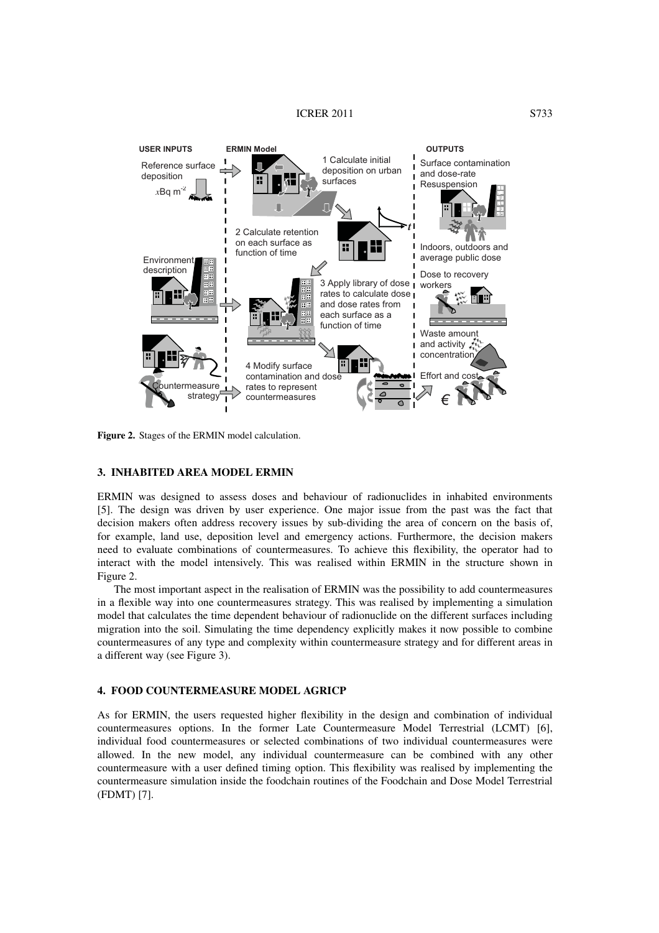ICRER 2011 S733



**Figure 2.** Stages of the ERMIN model calculation.

#### **3. INHABITED AREA MODEL ERMIN**

ERMIN was designed to assess doses and behaviour of radionuclides in inhabited environments [5]. The design was driven by user experience. One major issue from the past was the fact that decision makers often address recovery issues by sub-dividing the area of concern on the basis of, for example, land use, deposition level and emergency actions. Furthermore, the decision makers need to evaluate combinations of countermeasures. To achieve this flexibility, the operator had to interact with the model intensively. This was realised within ERMIN in the structure shown in Figure 2.

The most important aspect in the realisation of ERMIN was the possibility to add countermeasures in a flexible way into one countermeasures strategy. This was realised by implementing a simulation model that calculates the time dependent behaviour of radionuclide on the different surfaces including migration into the soil. Simulating the time dependency explicitly makes it now possible to combine countermeasures of any type and complexity within countermeasure strategy and for different areas in a different way (see Figure 3).

# **4. FOOD COUNTERMEASURE MODEL AGRICP**

As for ERMIN, the users requested higher flexibility in the design and combination of individual countermeasures options. In the former Late Countermeasure Model Terrestrial (LCMT) [6], individual food countermeasures or selected combinations of two individual countermeasures were allowed. In the new model, any individual countermeasure can be combined with any other countermeasure with a user defined timing option. This flexibility was realised by implementing the countermeasure simulation inside the foodchain routines of the Foodchain and Dose Model Terrestrial (FDMT) [7].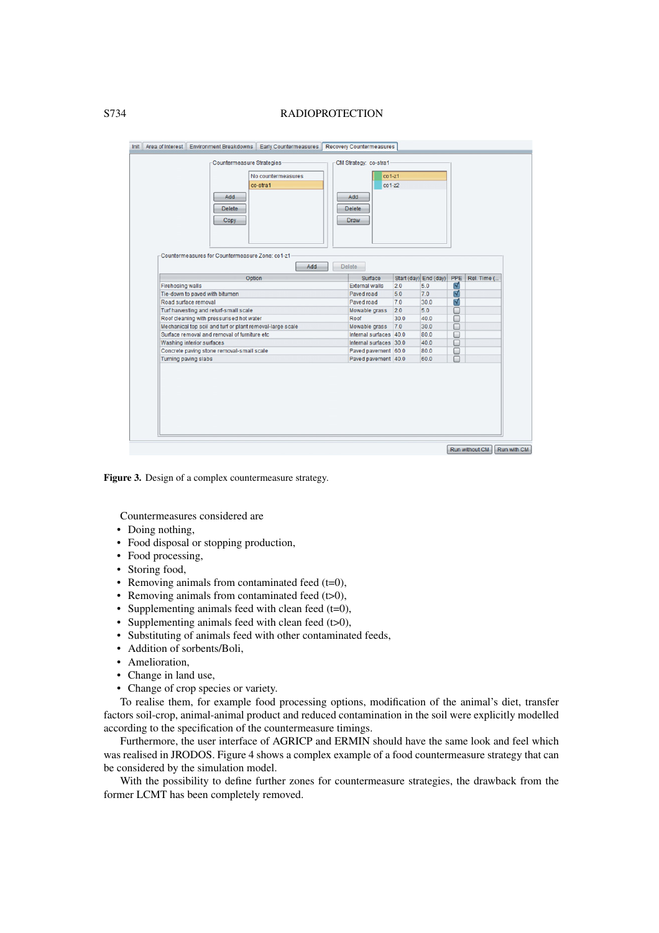# S734 RADIOPROTECTION

|                         | Add<br><b>Delete</b><br>Copy<br>Countermeasures for Countermeasure Zone: co1-z1- | No countermeasures<br>co-stra1 | $co1-z1$<br>$co1-z2$<br>Add<br><b>Delete</b><br>Draw |      |                              |          |             |
|-------------------------|----------------------------------------------------------------------------------|--------------------------------|------------------------------------------------------|------|------------------------------|----------|-------------|
|                         |                                                                                  | Add                            | <b>Delete</b>                                        |      |                              |          |             |
| <b>Firehosing walls</b> |                                                                                  | Option                         | Surface<br><b>External walls</b>                     | 2.0  | Start (day) End (day)<br>5.0 | PPE<br>₫ | Rel. Time ( |
|                         | Tie-down to paved with bitumen                                                   |                                | Payed road                                           | 5.0  | 7.0                          | ₫        |             |
|                         | Road surface removal                                                             |                                | Paved road                                           | 7.0  | 30.0                         | ⊽        |             |
|                         | Turf harvesting and returf-small scale                                           |                                | Mowable grass                                        | 2.0  | 5.0                          |          |             |
|                         | Roof cleaning with pressurised hot water                                         |                                | Roof                                                 | 30.0 | 40.0                         | 0        |             |
|                         | Mechanical top soil and turf or plant removal-large scale                        |                                | Mowable grass                                        | 7.0  | 30.0                         | 0<br>□   |             |
|                         | Surface removal and removal of furniture etc.                                    |                                | Internal surfaces 40.0                               |      | 80.0                         | O        |             |
|                         | Washing interior surfaces                                                        |                                | Internal surfaces 30.0                               |      | 40.0                         | $\Box$   |             |
|                         | Concrete paving stone removal-small scale                                        |                                | Paved pavement 60.0                                  |      | 80.0                         | 0        |             |
|                         | Turning paving slabs                                                             |                                | Paved pavement 40.0                                  |      | 60.0                         |          |             |
|                         |                                                                                  |                                |                                                      |      |                              |          |             |

**Figure 3.** Design of a complex countermeasure strategy.

Countermeasures considered are

- Doing nothing,
- Food disposal or stopping production,
- Food processing,
- Storing food,
- Removing animals from contaminated feed (t=0),
- Removing animals from contaminated feed (t>0),
- Supplementing animals feed with clean feed (t=0),
- Supplementing animals feed with clean feed (t>0),
- Substituting of animals feed with other contaminated feeds,
- Addition of sorbents/Boli,
- Amelioration,
- Change in land use,
- Change of crop species or variety.

To realise them, for example food processing options, modification of the animal's diet, transfer factors soil-crop, animal-animal product and reduced contamination in the soil were explicitly modelled according to the specification of the countermeasure timings.

Furthermore, the user interface of AGRICP and ERMIN should have the same look and feel which was realised in JRODOS. Figure 4 shows a complex example of a food countermeasure strategy that can be considered by the simulation model.

With the possibility to define further zones for countermeasure strategies, the drawback from the former LCMT has been completely removed.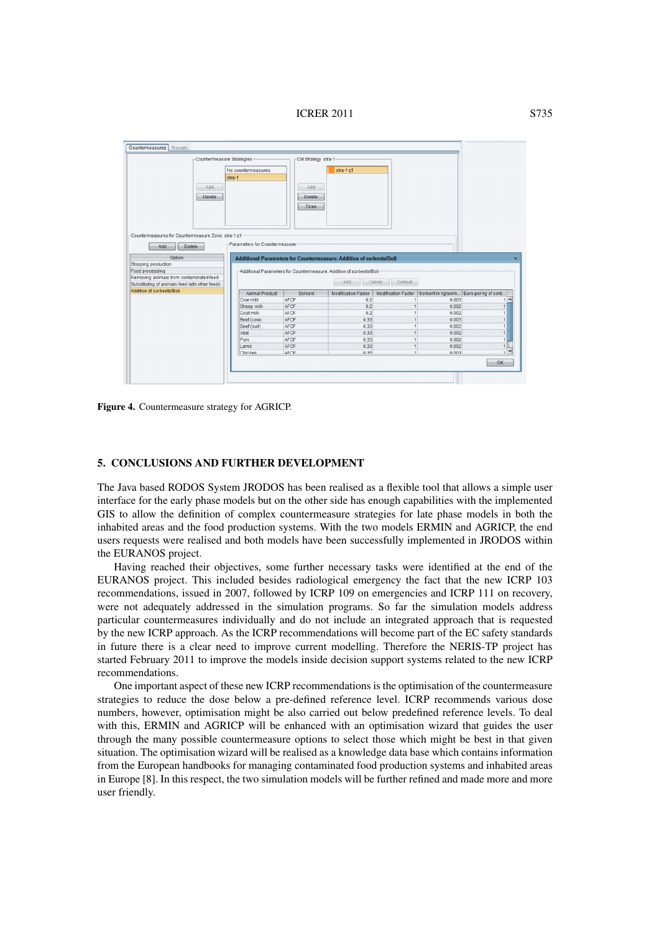ICRER 2011 S735

| Countermeasures for Countermeasure Zone: stra-1-z1<br><b>Delete</b><br>Add                                                                   |
|----------------------------------------------------------------------------------------------------------------------------------------------|
| Option<br>Stopping production<br>Food processing<br>Removing animals from contaminated feed<br>Substituting of animals feed with other feeds |
| Addition of sorbents/Boli                                                                                                                    |
|                                                                                                                                              |
|                                                                                                                                              |
|                                                                                                                                              |
|                                                                                                                                              |
|                                                                                                                                              |
|                                                                                                                                              |
|                                                                                                                                              |
|                                                                                                                                              |
|                                                                                                                                              |

**Figure 4.** Countermeasure strategy for AGRICP.

#### **5. CONCLUSIONS AND FURTHER DEVELOPMENT**

The Java based RODOS System JRODOS has been realised as a flexible tool that allows a simple user interface for the early phase models but on the other side has enough capabilities with the implemented GIS to allow the definition of complex countermeasure strategies for late phase models in both the inhabited areas and the food production systems. With the two models ERMIN and AGRICP, the end users requests were realised and both models have been successfully implemented in JRODOS within the EURANOS project.

Having reached their objectives, some further necessary tasks were identified at the end of the EURANOS project. This included besides radiological emergency the fact that the new ICRP 103 recommendations, issued in 2007, followed by ICRP 109 on emergencies and ICRP 111 on recovery, were not adequately addressed in the simulation programs. So far the simulation models address particular countermeasures individually and do not include an integrated approach that is requested by the new ICRP approach. As the ICRP recommendations will become part of the EC safety standards in future there is a clear need to improve current modelling. Therefore the NERIS-TP project has started February 2011 to improve the models inside decision support systems related to the new ICRP recommendations.

One important aspect of these new ICRP recommendations is the optimisation of the countermeasure strategies to reduce the dose below a pre-defined reference level. ICRP recommends various dose numbers, however, optimisation might be also carried out below predefined reference levels. To deal with this, ERMIN and AGRICP will be enhanced with an optimisation wizard that guides the user through the many possible countermeasure options to select those which might be best in that given situation. The optimisation wizard will be realised as a knowledge data base which contains information from the European handbooks for managing contaminated food production systems and inhabited areas in Europe [8]. In this respect, the two simulation models will be further refined and made more and more user friendly.